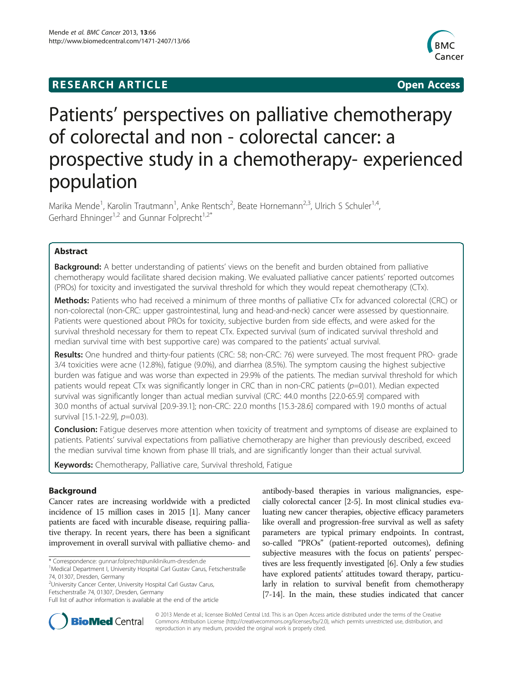## **RESEARCH ARTICLE Example 2018 12:00 Open Access**



# Patients' perspectives on palliative chemotherapy of colorectal and non - colorectal cancer: a prospective study in a chemotherapy- experienced population

Marika Mende<sup>1</sup>, Karolin Trautmann<sup>1</sup>, Anke Rentsch<sup>2</sup>, Beate Hornemann<sup>2,3</sup>, Ulrich S Schuler<sup>1,4</sup>, Gerhard Ehninger<sup>1,2</sup> and Gunnar Folprecht<sup>1,2\*</sup>

## Abstract

Background: A better understanding of patients' views on the benefit and burden obtained from palliative chemotherapy would facilitate shared decision making. We evaluated palliative cancer patients' reported outcomes (PROs) for toxicity and investigated the survival threshold for which they would repeat chemotherapy (CTx).

Methods: Patients who had received a minimum of three months of palliative CTx for advanced colorectal (CRC) or non-colorectal (non-CRC: upper gastrointestinal, lung and head-and-neck) cancer were assessed by questionnaire. Patients were questioned about PROs for toxicity, subjective burden from side effects, and were asked for the survival threshold necessary for them to repeat CTx. Expected survival (sum of indicated survival threshold and median survival time with best supportive care) was compared to the patients' actual survival.

Results: One hundred and thirty-four patients (CRC: 58; non-CRC: 76) were surveyed. The most frequent PRO- grade 3/4 toxicities were acne (12.8%), fatigue (9.0%), and diarrhea (8.5%). The symptom causing the highest subjective burden was fatigue and was worse than expected in 29.9% of the patients. The median survival threshold for which patients would repeat CTx was significantly longer in CRC than in non-CRC patients (p=0.01). Median expected survival was significantly longer than actual median survival (CRC: 44.0 months [22.0-65.9] compared with 30.0 months of actual survival [20.9-39.1]; non-CRC: 22.0 months [15.3-28.6] compared with 19.0 months of actual survival [15.1-22.9], p=0.03).

**Conclusion:** Fatigue deserves more attention when toxicity of treatment and symptoms of disease are explained to patients. Patients' survival expectations from palliative chemotherapy are higher than previously described, exceed the median survival time known from phase III trials, and are significantly longer than their actual survival.

Keywords: Chemotherapy, Palliative care, Survival threshold, Fatigue

## Background

Cancer rates are increasing worldwide with a predicted incidence of 15 million cases in 2015 [[1](#page-7-0)]. Many cancer patients are faced with incurable disease, requiring palliative therapy. In recent years, there has been a significant improvement in overall survival with palliative chemo- and

2 University Cancer Center, University Hospital Carl Gustav Carus, Fetscherstraße 74, 01307, Dresden, Germany

antibody-based therapies in various malignancies, especially colorectal cancer [[2-5\]](#page-7-0). In most clinical studies evaluating new cancer therapies, objective efficacy parameters like overall and progression-free survival as well as safety parameters are typical primary endpoints. In contrast, so-called "PROs" (patient-reported outcomes), defining subjective measures with the focus on patients' perspectives are less frequently investigated [\[6](#page-7-0)]. Only a few studies have explored patients' attitudes toward therapy, particularly in relation to survival benefit from chemotherapy [[7-14](#page-7-0)]. In the main, these studies indicated that cancer



© 2013 Mende et al.; licensee BioMed Central Ltd. This is an Open Access article distributed under the terms of the Creative Commons Attribution License [\(http://creativecommons.org/licenses/by/2.0\)](http://creativecommons.org/licenses/by/2.0), which permits unrestricted use, distribution, and reproduction in any medium, provided the original work is properly cited.

<sup>\*</sup> Correspondence: [gunnar.folprecht@uniklinikum-dresden.de](mailto:gunnar.folprecht@uniklinikum-dresden.de) <sup>1</sup>

<sup>&</sup>lt;sup>1</sup>Medical Department I, University Hospital Carl Gustav Carus, Fetscherstraße 74, 01307, Dresden, Germany

Full list of author information is available at the end of the article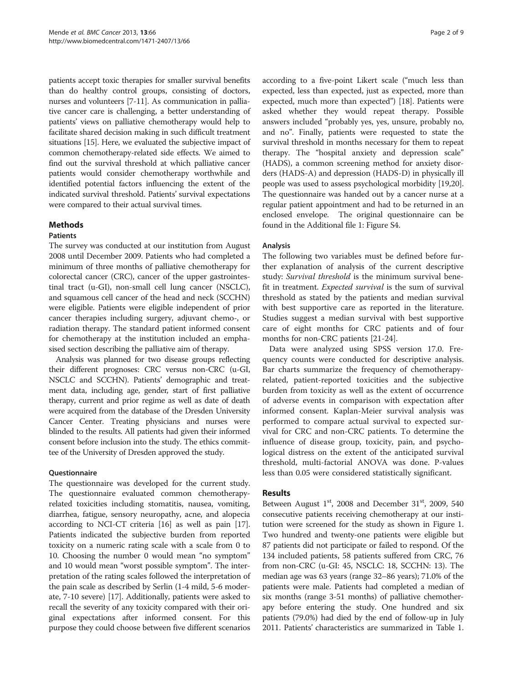patients accept toxic therapies for smaller survival benefits than do healthy control groups, consisting of doctors, nurses and volunteers [\[7-11\]](#page-7-0). As communication in palliative cancer care is challenging, a better understanding of patients' views on palliative chemotherapy would help to facilitate shared decision making in such difficult treatment situations [\[15\]](#page-7-0). Here, we evaluated the subjective impact of common chemotherapy-related side effects. We aimed to find out the survival threshold at which palliative cancer patients would consider chemotherapy worthwhile and identified potential factors influencing the extent of the indicated survival threshold. Patients' survival expectations were compared to their actual survival times.

### Methods

#### **Patients**

The survey was conducted at our institution from August 2008 until December 2009. Patients who had completed a minimum of three months of palliative chemotherapy for colorectal cancer (CRC), cancer of the upper gastrointestinal tract (u-GI), non-small cell lung cancer (NSCLC), and squamous cell cancer of the head and neck (SCCHN) were eligible. Patients were eligible independent of prior cancer therapies including surgery, adjuvant chemo-, or radiation therapy. The standard patient informed consent for chemotherapy at the institution included an emphasised section describing the palliative aim of therapy.

Analysis was planned for two disease groups reflecting their different prognoses: CRC versus non-CRC (u-GI, NSCLC and SCCHN). Patients' demographic and treatment data, including age, gender, start of first palliative therapy, current and prior regime as well as date of death were acquired from the database of the Dresden University Cancer Center. Treating physicians and nurses were blinded to the results. All patients had given their informed consent before inclusion into the study. The ethics committee of the University of Dresden approved the study.

#### Questionnaire

The questionnaire was developed for the current study. The questionnaire evaluated common chemotherapyrelated toxicities including stomatitis, nausea, vomiting, diarrhea, fatigue, sensory neuropathy, acne, and alopecia according to NCI-CT criteria [[16](#page-7-0)] as well as pain [[17](#page-7-0)]. Patients indicated the subjective burden from reported toxicity on a numeric rating scale with a scale from 0 to 10. Choosing the number 0 would mean "no symptom" and 10 would mean "worst possible symptom". The interpretation of the rating scales followed the interpretation of the pain scale as described by Serlin (1-4 mild, 5-6 moderate, 7-10 severe) [\[17](#page-7-0)]. Additionally, patients were asked to recall the severity of any toxicity compared with their original expectations after informed consent. For this purpose they could choose between five different scenarios

according to a five-point Likert scale ("much less than expected, less than expected, just as expected, more than expected, much more than expected") [\[18\]](#page-7-0). Patients were asked whether they would repeat therapy. Possible answers included "probably yes, yes, unsure, probably no, and no". Finally, patients were requested to state the survival threshold in months necessary for them to repeat therapy. The "hospital anxiety and depression scale" (HADS), a common screening method for anxiety disorders (HADS-A) and depression (HADS-D) in physically ill people was used to assess psychological morbidity [\[19,20](#page-7-0)]. The questionnaire was handed out by a cancer nurse at a regular patient appointment and had to be returned in an enclosed envelope. The original questionnaire can be found in the Additional file [1:](#page-7-0) Figure S4.

### Analysis

The following two variables must be defined before further explanation of analysis of the current descriptive study: Survival threshold is the minimum survival benefit in treatment. Expected survival is the sum of survival threshold as stated by the patients and median survival with best supportive care as reported in the literature. Studies suggest a median survival with best supportive care of eight months for CRC patients and of four months for non-CRC patients [\[21](#page-7-0)-[24\]](#page-7-0).

Data were analyzed using SPSS version 17.0. Frequency counts were conducted for descriptive analysis. Bar charts summarize the frequency of chemotherapyrelated, patient-reported toxicities and the subjective burden from toxicity as well as the extent of occurrence of adverse events in comparison with expectation after informed consent. Kaplan-Meier survival analysis was performed to compare actual survival to expected survival for CRC and non-CRC patients. To determine the influence of disease group, toxicity, pain, and psychological distress on the extent of the anticipated survival threshold, multi-factorial ANOVA was done. P-values less than 0.05 were considered statistically significant.

## Results

Between August  $1<sup>st</sup>$ , 2008 and December  $31<sup>st</sup>$ , 2009, 540 consecutive patients receiving chemotherapy at our institution were screened for the study as shown in Figure [1](#page-2-0). Two hundred and twenty-one patients were eligible but 87 patients did not participate or failed to respond. Of the 134 included patients, 58 patients suffered from CRC, 76 from non-CRC (u-GI: 45, NSCLC: 18, SCCHN: 13). The median age was 63 years (range 32–86 years); 71.0% of the patients were male. Patients had completed a median of six months (range 3-51 months) of palliative chemotherapy before entering the study. One hundred and six patients (79.0%) had died by the end of follow-up in July 2011. Patients' characteristics are summarized in Table [1](#page-2-0).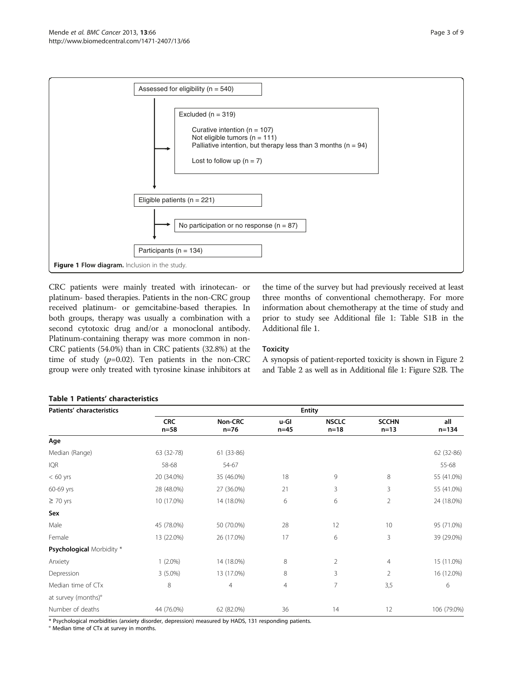<span id="page-2-0"></span>

CRC patients were mainly treated with irinotecan- or platinum- based therapies. Patients in the non-CRC group received platinum- or gemcitabine-based therapies. In both groups, therapy was usually a combination with a second cytotoxic drug and/or a monoclonal antibody. Platinum-containing therapy was more common in non-CRC patients (54.0%) than in CRC patients (32.8%) at the time of study  $(p=0.02)$ . Ten patients in the non-CRC group were only treated with tyrosine kinase inhibitors at

the time of the survey but had previously received at least three months of conventional chemotherapy. For more information about chemotherapy at the time of study and prior to study see Additional file [1](#page-7-0): Table S1B in the Additional file [1](#page-7-0).

## **Toxicity**

A synopsis of patient-reported toxicity is shown in Figure [2](#page-3-0) and Table [2](#page-4-0) as well as in Additional file [1:](#page-7-0) Figure S2B. The

## Table 1 Patients' characteristics

| Patients' characteristics        | <b>Entity</b>        |                   |                |                        |                        |                  |
|----------------------------------|----------------------|-------------------|----------------|------------------------|------------------------|------------------|
|                                  | <b>CRC</b><br>$n=58$ | Non-CRC<br>$n=76$ | u-Gl<br>$n=45$ | <b>NSCLC</b><br>$n=18$ | <b>SCCHN</b><br>$n=13$ | all<br>$n = 134$ |
| Age                              |                      |                   |                |                        |                        |                  |
| Median (Range)                   | 63 (32-78)           | 61 (33-86)        |                |                        |                        | 62 (32-86)       |
| <b>IQR</b>                       | 58-68                | 54-67             |                |                        |                        | 55-68            |
| $< 60$ yrs                       | 20 (34.0%)           | 35 (46.0%)        | 18             | 9                      | 8                      | 55 (41.0%)       |
| 60-69 yrs                        | 28 (48.0%)           | 27 (36.0%)        | 21             | 3                      | 3                      | 55 (41.0%)       |
| $\geq$ 70 yrs                    | 10 (17.0%)           | 14 (18.0%)        | 6              | 6                      | 2                      | 24 (18.0%)       |
| Sex                              |                      |                   |                |                        |                        |                  |
| Male                             | 45 (78.0%)           | 50 (70.0%)        | 28             | 12                     | 10                     | 95 (71.0%)       |
| Female                           | 13 (22.0%)           | 26 (17.0%)        | 17             | 6                      | 3                      | 39 (29.0%)       |
| <b>Psychological Morbidity *</b> |                      |                   |                |                        |                        |                  |
| Anxiety                          | $1(2.0\%)$           | 14 (18.0%)        | 8              | $\overline{2}$         | 4                      | 15 (11.0%)       |
| Depression                       | $3(5.0\%)$           | 13 (17.0%)        | 8              | 3                      | $\overline{2}$         | 16 (12.0%)       |
| Median time of CTx               | 8                    | $\overline{4}$    | $\overline{4}$ | $\overline{7}$         | 3,5                    | 6                |
| at survey (months)°              |                      |                   |                |                        |                        |                  |
| Number of deaths                 | 44 (76.0%)           | 62 (82.0%)        | 36             | 14                     | 12                     | 106 (79.0%)      |

\* Psychological morbidities (anxiety disorder, depression) measured by HADS, 131 responding patients.

° Median time of CTx at survey in months.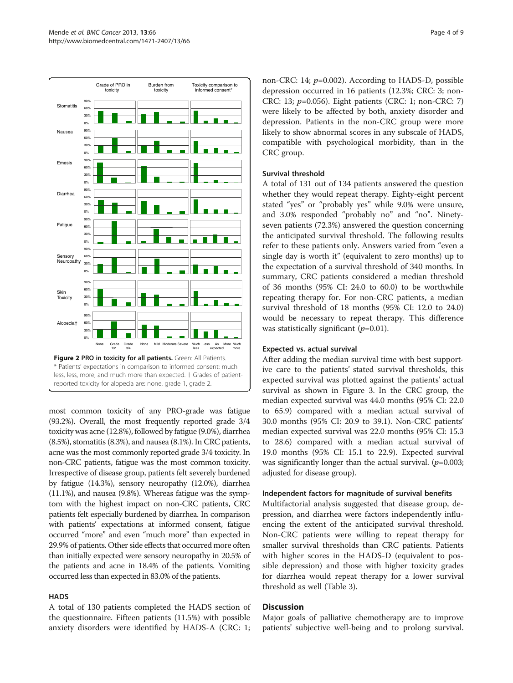<span id="page-3-0"></span>

most common toxicity of any PRO-grade was fatigue (93.2%). Overall, the most frequently reported grade 3/4 toxicity was acne (12.8%), followed by fatigue (9.0%), diarrhea (8.5%), stomatitis (8.3%), and nausea (8.1%). In CRC patients, acne was the most commonly reported grade 3/4 toxicity. In non-CRC patients, fatigue was the most common toxicity. Irrespective of disease group, patients felt severely burdened by fatigue (14.3%), sensory neuropathy (12.0%), diarrhea (11.1%), and nausea (9.8%). Whereas fatigue was the symptom with the highest impact on non-CRC patients, CRC patients felt especially burdened by diarrhea. In comparison with patients' expectations at informed consent, fatigue occurred "more" and even "much more" than expected in 29.9% of patients. Other side effects that occurred more often than initially expected were sensory neuropathy in 20.5% of the patients and acne in 18.4% of the patients. Vomiting occurred less than expected in 83.0% of the patients.

## **HADS**

A total of 130 patients completed the HADS section of the questionnaire. Fifteen patients (11.5%) with possible anxiety disorders were identified by HADS-A (CRC: 1; non-CRC: 14;  $p=0.002$ ). According to HADS-D, possible depression occurred in 16 patients (12.3%; CRC: 3; non-CRC: 13;  $p=0.056$ ). Eight patients (CRC: 1; non-CRC: 7) were likely to be affected by both, anxiety disorder and depression. Patients in the non-CRC group were more likely to show abnormal scores in any subscale of HADS, compatible with psychological morbidity, than in the CRC group.

### Survival threshold

A total of 131 out of 134 patients answered the question whether they would repeat therapy. Eighty-eight percent stated "yes" or "probably yes" while 9.0% were unsure, and 3.0% responded "probably no" and "no". Ninetyseven patients (72.3%) answered the question concerning the anticipated survival threshold. The following results refer to these patients only. Answers varied from "even a single day is worth it" (equivalent to zero months) up to the expectation of a survival threshold of 340 months. In summary, CRC patients considered a median threshold of 36 months (95% CI: 24.0 to 60.0) to be worthwhile repeating therapy for. For non-CRC patients, a median survival threshold of 18 months (95% CI: 12.0 to 24.0) would be necessary to repeat therapy. This difference was statistically significant  $(p=0.01)$ .

## Expected vs. actual survival

After adding the median survival time with best supportive care to the patients' stated survival thresholds, this expected survival was plotted against the patients' actual survival as shown in Figure [3](#page-5-0). In the CRC group, the median expected survival was 44.0 months (95% CI: 22.0 to 65.9) compared with a median actual survival of 30.0 months (95% CI: 20.9 to 39.1). Non-CRC patients' median expected survival was 22.0 months (95% CI: 15.3 to 28.6) compared with a median actual survival of 19.0 months (95% CI: 15.1 to 22.9). Expected survival was significantly longer than the actual survival.  $(p=0.003;$ adjusted for disease group).

#### Independent factors for magnitude of survival benefits

Multifactorial analysis suggested that disease group, depression, and diarrhea were factors independently influencing the extent of the anticipated survival threshold. Non-CRC patients were willing to repeat therapy for smaller survival thresholds than CRC patients. Patients with higher scores in the HADS-D (equivalent to possible depression) and those with higher toxicity grades for diarrhea would repeat therapy for a lower survival threshold as well (Table [3\)](#page-6-0).

#### Discussion

Major goals of palliative chemotherapy are to improve patients' subjective well-being and to prolong survival.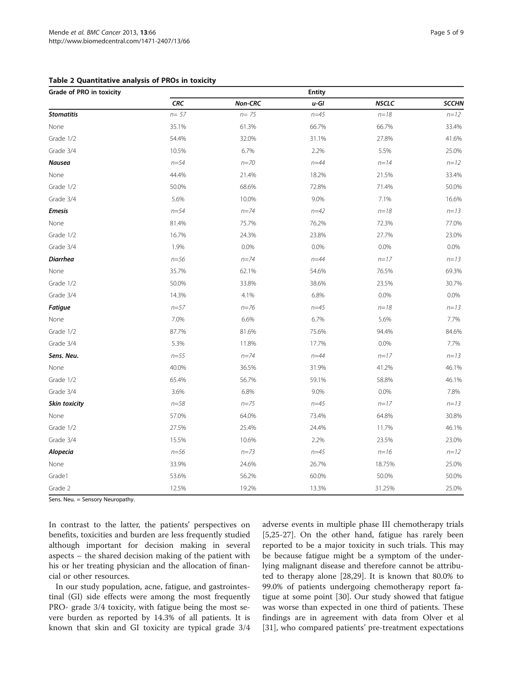<span id="page-4-0"></span>

| Table 2 Quantitative analysis of PROs in toxicity |  |  |  |
|---------------------------------------------------|--|--|--|
|---------------------------------------------------|--|--|--|

| Grade of PRO in toxicity |            |          | <b>Entity</b> |              |              |
|--------------------------|------------|----------|---------------|--------------|--------------|
|                          | <b>CRC</b> | Non-CRC  | $u$ -Gl       | <b>NSCLC</b> | <b>SCCHN</b> |
| <b>Stomatitis</b>        | $n = 57$   | $n = 75$ | $n = 45$      | $n = 18$     | $n = 12$     |
| None                     | 35.1%      | 61.3%    | 66.7%         | 66.7%        | 33.4%        |
| Grade 1/2                | 54.4%      | 32.0%    | 31.1%         | 27.8%        | 41.6%        |
| Grade 3/4                | 10.5%      | 6.7%     | 2.2%          | 5.5%         | 25.0%        |
| <b>Nausea</b>            | $n = 54$   | $n = 70$ | $n = 44$      | $n = 14$     | $n = 12$     |
| None                     | 44.4%      | 21.4%    | 18.2%         | 21.5%        | 33.4%        |
| Grade 1/2                | 50.0%      | 68.6%    | 72.8%         | 71.4%        | 50.0%        |
| Grade 3/4                | 5.6%       | 10.0%    | 9.0%          | 7.1%         | 16.6%        |
| <b>Emesis</b>            | $n = 54$   | $n = 74$ | $n = 42$      | $n = 18$     | $n = 13$     |
| None                     | 81.4%      | 75.7%    | 76.2%         | 72.3%        | 77.0%        |
| Grade 1/2                | 16.7%      | 24.3%    | 23.8%         | 27.7%        | 23.0%        |
| Grade 3/4                | 1.9%       | 0.0%     | $0.0\%$       | 0.0%         | 0.0%         |
| <b>Diarrhea</b>          | $n = 56$   | $n = 74$ | $n = 44$      | $n = 17$     | $n = 13$     |
| None                     | 35.7%      | 62.1%    | 54.6%         | 76.5%        | 69.3%        |
| Grade 1/2                | 50.0%      | 33.8%    | 38.6%         | 23.5%        | 30.7%        |
| Grade 3/4                | 14.3%      | 4.1%     | 6.8%          | 0.0%         | 0.0%         |
| <b>Fatigue</b>           | $n = 57$   | $n = 76$ | $n = 45$      | $n = 18$     | $n = 13$     |
| None                     | 7.0%       | 6.6%     | 6.7%          | 5.6%         | 7.7%         |
| Grade 1/2                | 87.7%      | 81.6%    | 75.6%         | 94.4%        | 84.6%        |
| Grade 3/4                | 5.3%       | 11.8%    | 17.7%         | 0.0%         | 7.7%         |
| Sens. Neu.               | $n = 55$   | $n = 74$ | $n = 44$      | $n = 17$     | $n = 13$     |
| None                     | 40.0%      | 36.5%    | 31.9%         | 41.2%        | 46.1%        |
| Grade 1/2                | 65.4%      | 56.7%    | 59.1%         | 58.8%        | 46.1%        |
| Grade 3/4                | 3.6%       | 6.8%     | 9.0%          | 0.0%         | 7.8%         |
| Skin toxicity            | $n = 58$   | $n = 75$ | $n = 45$      | $n = 17$     | $n = 13$     |
| None                     | 57.0%      | 64.0%    | 73.4%         | 64.8%        | 30.8%        |
| Grade 1/2                | 27.5%      | 25.4%    | 24.4%         | 11.7%        | 46.1%        |
| Grade 3/4                | 15.5%      | 10.6%    | 2.2%          | 23.5%        | 23.0%        |
| Alopecia                 | $n = 56$   | $n = 73$ | $n = 45$      | $n = 16$     | $n = 12$     |
| None                     | 33.9%      | 24.6%    | 26.7%         | 18.75%       | 25.0%        |
| Grade1                   | 53.6%      | 56.2%    | 60.0%         | 50.0%        | 50.0%        |
| Grade 2                  | 12.5%      | 19.2%    | 13.3%         | 31.25%       | 25.0%        |

Sens. Neu. = Sensory Neuropathy.

In contrast to the latter, the patients' perspectives on benefits, toxicities and burden are less frequently studied although important for decision making in several aspects – the shared decision making of the patient with his or her treating physician and the allocation of financial or other resources.

In our study population, acne, fatigue, and gastrointestinal (GI) side effects were among the most frequently PRO- grade 3/4 toxicity, with fatigue being the most severe burden as reported by 14.3% of all patients. It is known that skin and GI toxicity are typical grade 3/4

adverse events in multiple phase III chemotherapy trials [[5,25-27](#page-7-0)]. On the other hand, fatigue has rarely been reported to be a major toxicity in such trials. This may be because fatigue might be a symptom of the underlying malignant disease and therefore cannot be attributed to therapy alone [\[28,29\]](#page-7-0). It is known that 80.0% to 99.0% of patients undergoing chemotherapy report fatigue at some point [[30\]](#page-8-0). Our study showed that fatigue was worse than expected in one third of patients. These findings are in agreement with data from Olver et al [[31\]](#page-8-0), who compared patients' pre-treatment expectations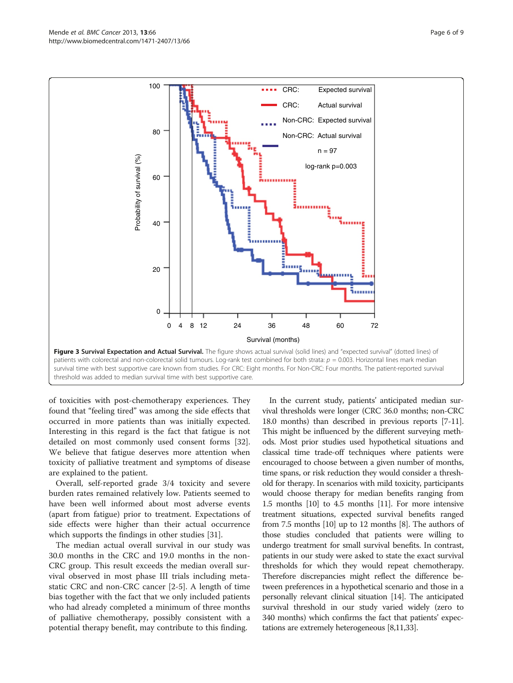<span id="page-5-0"></span>

of toxicities with post-chemotherapy experiences. They found that "feeling tired" was among the side effects that occurred in more patients than was initially expected. Interesting in this regard is the fact that fatigue is not detailed on most commonly used consent forms [\[32](#page-8-0)]. We believe that fatigue deserves more attention when toxicity of palliative treatment and symptoms of disease are explained to the patient.

Overall, self-reported grade 3/4 toxicity and severe burden rates remained relatively low. Patients seemed to have been well informed about most adverse events (apart from fatigue) prior to treatment. Expectations of side effects were higher than their actual occurrence which supports the findings in other studies [[31](#page-8-0)].

The median actual overall survival in our study was 30.0 months in the CRC and 19.0 months in the non-CRC group. This result exceeds the median overall survival observed in most phase III trials including metastatic CRC and non-CRC cancer [[2-5](#page-7-0)]. A length of time bias together with the fact that we only included patients who had already completed a minimum of three months of palliative chemotherapy, possibly consistent with a potential therapy benefit, may contribute to this finding.

In the current study, patients' anticipated median survival thresholds were longer (CRC 36.0 months; non-CRC 18.0 months) than described in previous reports [[7-11](#page-7-0)]. This might be influenced by the different surveying methods. Most prior studies used hypothetical situations and classical time trade-off techniques where patients were encouraged to choose between a given number of months, time spans, or risk reduction they would consider a threshold for therapy. In scenarios with mild toxicity, participants would choose therapy for median benefits ranging from 1.5 months [\[10\]](#page-7-0) to 4.5 months [\[11\]](#page-7-0). For more intensive treatment situations, expected survival benefits ranged from 7.5 months [[10](#page-7-0)] up to 12 months [\[8](#page-7-0)]. The authors of those studies concluded that patients were willing to undergo treatment for small survival benefits. In contrast, patients in our study were asked to state the exact survival thresholds for which they would repeat chemotherapy. Therefore discrepancies might reflect the difference between preferences in a hypothetical scenario and those in a personally relevant clinical situation [\[14](#page-7-0)]. The anticipated survival threshold in our study varied widely (zero to 340 months) which confirms the fact that patients' expectations are extremely heterogeneous [[8,11](#page-7-0)[,33\]](#page-8-0).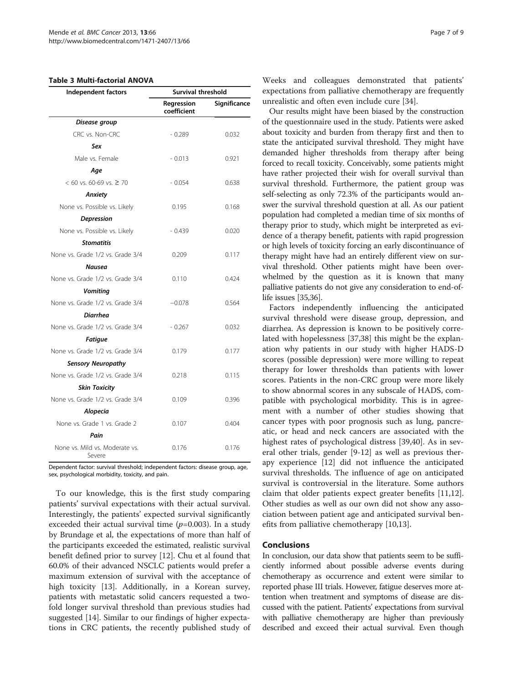#### <span id="page-6-0"></span>Table 3 Multi-factorial ANOVA

| Independent factors                      | <b>Survival threshold</b> |              |  |  |
|------------------------------------------|---------------------------|--------------|--|--|
|                                          | Regression<br>coefficient | Significance |  |  |
| Disease group                            |                           |              |  |  |
| CRC vs. Non-CRC                          | $-0.289$                  | 0.032        |  |  |
| Sex                                      |                           |              |  |  |
| Male vs. Female                          | $-0.013$                  | 0.921        |  |  |
| Aqe                                      |                           |              |  |  |
| $< 60$ vs. 60-69 vs. $\geq 70$           | $-0.054$                  | 0.638        |  |  |
| Anxiety                                  |                           |              |  |  |
| None vs. Possible vs. Likely             | 0.195                     | 0.168        |  |  |
| Depression                               |                           |              |  |  |
| None vs. Possible vs. Likely             | $-0.439$                  | 0.020        |  |  |
| <b>Stomatitis</b>                        |                           |              |  |  |
| None vs. Grade 1/2 vs. Grade 3/4         | 0.209                     | 0.117        |  |  |
| <b>Nausea</b>                            |                           |              |  |  |
| None vs. Grade 1/2 vs. Grade 3/4         | 0.110                     | 0.424        |  |  |
| <b>Vomiting</b>                          |                           |              |  |  |
| None vs. Grade 1/2 vs. Grade 3/4         | $-0.078$                  | 0.564        |  |  |
| <b>Diarrhea</b>                          |                           |              |  |  |
| None vs. Grade 1/2 vs. Grade 3/4         | $-0.267$                  | 0.032        |  |  |
| <b>Fatigue</b>                           |                           |              |  |  |
| None vs. Grade 1/2 vs. Grade 3/4         | 0.179                     | 0.177        |  |  |
| <b>Sensory Neuropathy</b>                |                           |              |  |  |
| None vs. Grade 1/2 vs. Grade 3/4         | 0.218                     | 0.115        |  |  |
| <b>Skin Toxicity</b>                     |                           |              |  |  |
| None vs. Grade 1/2 vs. Grade 3/4         | 0.109                     | 0.396        |  |  |
| Alopecia                                 |                           |              |  |  |
| None vs. Grade 1 vs. Grade 2             | 0.107                     | 0.404        |  |  |
| Pain                                     |                           |              |  |  |
| None vs. Mild vs. Moderate vs.<br>Severe | 0.176                     | 0.176        |  |  |

Dependent factor: survival threshold; independent factors: disease group, age, sex, psychological morbidity, toxicity, and pain.

To our knowledge, this is the first study comparing patients' survival expectations with their actual survival. Interestingly, the patients' expected survival significantly exceeded their actual survival time  $(p=0.003)$ . In a study by Brundage et al, the expectations of more than half of the participants exceeded the estimated, realistic survival benefit defined prior to survey [\[12](#page-7-0)]. Chu et al found that 60.0% of their advanced NSCLC patients would prefer a maximum extension of survival with the acceptance of high toxicity [[13\]](#page-7-0). Additionally, in a Korean survey, patients with metastatic solid cancers requested a twofold longer survival threshold than previous studies had suggested [\[14](#page-7-0)]. Similar to our findings of higher expectations in CRC patients, the recently published study of Weeks and colleagues demonstrated that patients' expectations from palliative chemotherapy are frequently unrealistic and often even include cure [\[34](#page-8-0)].

Our results might have been biased by the construction of the questionnaire used in the study. Patients were asked about toxicity and burden from therapy first and then to state the anticipated survival threshold. They might have demanded higher thresholds from therapy after being forced to recall toxicity. Conceivably, some patients might have rather projected their wish for overall survival than survival threshold. Furthermore, the patient group was self-selecting as only 72.3% of the participants would answer the survival threshold question at all. As our patient population had completed a median time of six months of therapy prior to study, which might be interpreted as evidence of a therapy benefit, patients with rapid progression or high levels of toxicity forcing an early discontinuance of therapy might have had an entirely different view on survival threshold. Other patients might have been overwhelmed by the question as it is known that many palliative patients do not give any consideration to end-oflife issues [\[35,36](#page-8-0)].

Factors independently influencing the anticipated survival threshold were disease group, depression, and diarrhea. As depression is known to be positively correlated with hopelessness [[37,38\]](#page-8-0) this might be the explanation why patients in our study with higher HADS-D scores (possible depression) were more willing to repeat therapy for lower thresholds than patients with lower scores. Patients in the non-CRC group were more likely to show abnormal scores in any subscale of HADS, compatible with psychological morbidity. This is in agreement with a number of other studies showing that cancer types with poor prognosis such as lung, pancreatic, or head and neck cancers are associated with the highest rates of psychological distress [\[39,40\]](#page-8-0). As in several other trials, gender [\[9](#page-7-0)-[12\]](#page-7-0) as well as previous therapy experience [\[12](#page-7-0)] did not influence the anticipated survival thresholds. The influence of age on anticipated survival is controversial in the literature. Some authors claim that older patients expect greater benefits [\[11,12](#page-7-0)]. Other studies as well as our own did not show any association between patient age and anticipated survival benefits from palliative chemotherapy [[10,13\]](#page-7-0).

#### Conclusions

In conclusion, our data show that patients seem to be sufficiently informed about possible adverse events during chemotherapy as occurrence and extent were similar to reported phase III trials. However, fatigue deserves more attention when treatment and symptoms of disease are discussed with the patient. Patients' expectations from survival with palliative chemotherapy are higher than previously described and exceed their actual survival. Even though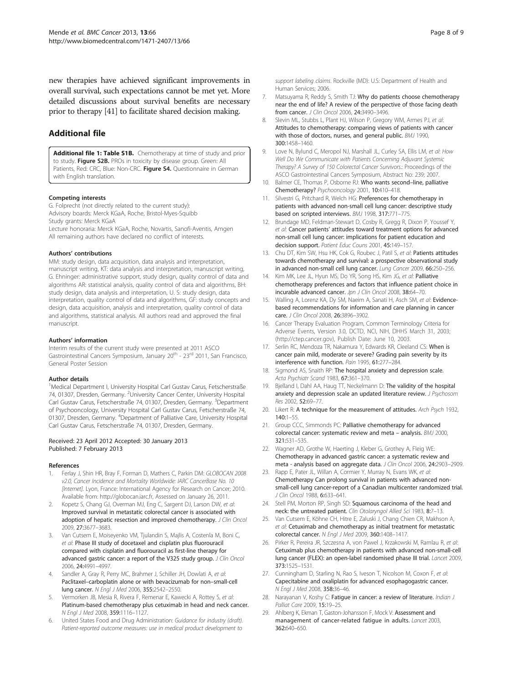<span id="page-7-0"></span>new therapies have achieved significant improvements in overall survival, such expectations cannot be met yet. More detailed discussions about survival benefits are necessary prior to therapy [\[41\]](#page-8-0) to facilitate shared decision making.

## Additional file

[Additional file 1: Table S1B.](http://www.biomedcentral.com/content/supplementary/1471-2407-13-66-S1.doc) Chemotherapy at time of study and prior to study. Figure S2B. PROs in toxicity by disease group. Green: All Patients, Red: CRC, Blue: Non-CRC. Figure S4. Questionnaire in German with English translation.

#### Competing interests

G. Folprecht (not directly related to the current study): Advisory boards: Merck KGaA, Roche, Bristol-Myes-Squibb Study grants: Merck KGaA Lecture honoraria: Merck KGaA, Roche, Novartis, Sanofi-Aventis, Amgen All remaining authors have declared no conflict of interests.

#### Authors' contributions

MM: study design, data acquisition, data analysis and interpretation, manuscript writing, KT: data analysis and interpretation, manuscript writing, G. Ehninger: administrative support, study design, quality control of data and algorithms AR: statistical analysis, quality control of data and algorithms, BH: study design, data analysis and interpretation, U. S: study design, data interpretation, quality control of data and algorithms, GF: study concepts and design, data acquisition, analysis and interpretation, quality control of data and algorithms, statistical analysis. All authors read and approved the final manuscript.

#### Authors' information

Interim results of the current study were presented at 2011 ASCO Gastrointestinal Cancers Symposium, January 20<sup>th</sup> - 23<sup>rd</sup> 2011, San Francisco, General Poster Session

#### Author details

<sup>1</sup>Medical Department I, University Hospital Carl Gustav Carus, Fetscherstraße 74, 01307, Dresden, Germany. <sup>2</sup>University Cancer Center, University Hospital Carl Gustav Carus, Fetscherstraße 74, 01307, Dresden, Germany. <sup>3</sup>Department of Psychooncology, University Hospital Carl Gustav Carus, Fetscherstraße 74, 01307, Dresden, Germany. <sup>4</sup>Department of Palliative Care, University Hospital Carl Gustav Carus, Fetscherstraße 74, 01307, Dresden, Germany.

#### Received: 23 April 2012 Accepted: 30 January 2013 Published: 7 February 2013

#### References

- 1. Ferlay J, Shin HR, Bray F, Forman D, Mathers C, Parkin DM: GLOBOCAN 2008 v2.0, Cancer Incidence and Mortality Worldwide: IARC CancerBase No. 10 [Internet]. Lyon, France: International Agency for Research on Cancer; 2010. Available from: [http://globocan.iarc.fr](http://globocan.iarc.fr/), Assessed on January 26, 2011.
- Kopetz S, Chang GJ, Overman MJ, Eng C, Sargent DJ, Larson DW, et al: Improved survival in metastatic colorectal cancer is associated with adoption of hepatic resection and improved chemotherapy. J Clin Oncol 2009, 27:3677–3683.
- Van Cutsem E, Moiseyenko VM, Tjulandin S, Majlis A, Costenla M, Boni C, et al: Phase III study of docetaxel and cisplatin plus fluorouracil compared with cisplatin and fluorouracil as first-line therapy for advanced gastric cancer: a report of the V325 study group. J Clin Oncol 2006, 24:4991–4997.
- 4. Sandler A, Gray R, Perry MC, Brahmer J, Schiller JH, Dowlati A, et al: Paclitaxel–carboplatin alone or with bevacizumab for non–small-cell lung cancer. N Engl J Med 2006, 355:2542–2550.
- Vermorken JB, Mesia R, Rivera F, Remenar E, Kawecki A, Rottey S, et al: Platinum-based chemotherapy plus cetuximab in head and neck cancer. N Engl J Med 2008, 359:1116–1127.
- 6. United States Food and Drug Administration: Guidance for industry (draft). Patient-reported outcome measures: use in medical product development to

support labeling claims. Rockville (MD): U.S: Department of Health and Human Services; 2006.

- 7. Matsuyama R, Reddy S, Smith TJ: Why do patients choose chemotherapy near the end of life? A review of the perspective of those facing death from cancer. J Clin Oncol 2006, 24:3490–3496.
- 8. Slevin ML, Stubbs L, Plant HJ, Wilson P, Gregory WM, Armes PJ, et al: Attitudes to chemotherapy: comparing views of patients with cancer with those of doctors, nurses, and general public. BMJ 1990, 300:1458–1460.
- 9. Love N, Bylund C, Meropol NJ, Marshall JL, Curley SA, Ellis LM, et al: How Well Do We Communicate with Patients Concerning Adjuvant Systemic Therapy? A Survey of 150 Colorectal Cancer Survivors.: Proceedings of the ASCO Gastrointestinal Cancers Symposium, Abstract No: 239; 2007.
- 10. Balmer CE, Thomas P, Osborne RJ: Who wants second-line, palliative Chemotherapy? Psychooncology 2001, 10:410–418.
- 11. Silvestri G, Pritchard R, Welch HG: Preferences for chemotherapy in patients with advanced non-small cell lung cancer: descriptive study based on scripted interviews. BMJ 1998, 317:771–775.
- 12. Brundage MD, Feldman-Stewart D, Cosby R, Gregg R, Dixon P, Youssef Y, et al: Cancer patients' attitudes toward treatment options for advanced non-small cell lung cancer: implications for patient education and decision support. Patient Educ Couns 2001, 45:149-157.
- 13. Chu DT, Kim SW, Hsu HK, Cok G, Roubec J, Patil S, et al: Patients attitudes towards chemotherapy and survival: a prospective observational study in advanced non-small cell lung cancer. Lung Cancer 2009, 66:250–256.
- 14. Kim MK, Lee JL, Hyun MS, Do YR, Song HS, Kim JG, et al: Palliative chemotherapy preferences and factors that influence patient choice in incurable advanced cancer. Jpn J Clin Oncol 2008, 38:64-70.
- 15. Walling A, Lorenz KA, Dy SM, Naeim A, Sanati H, Asch SM, et al: Evidencebased recommendations for information and care planning in cancer care. J Clin Oncol 2008, 26:3896–3902.
- 16. Cancer Therapy Evaluation Program, Common Terminology Criteria for Adverse Events, Version 3.0, DCTD, NCI, NIH, DHHS March 31, 2003; ([http://ctep.cancer.gov](http://ctep.cancer.gov/)), Publish Date: June 10, 2003.
- 17. Serlin RC, Mendoza TR, Nakamura Y, Edwards KR, Cleeland CS: When is cancer pain mild, moderate or severe? Grading pain severity by its interference with function. Pain 1995, 61:277–284.
- 18. Sigmond AS, Snaith RP: The hospital anxiety and depression scale. Acta Psychiatr Scand 1983, 67:361–370.
- 19. Bjelland I, Dahl AA, Haug TT, Neckelmann D: The validity of the hospital anxiety and depression scale an updated literature review. J Psychosom Res 2002, 52:69–77.
- 20. Likert R: A technique for the measurement of attitudes. Arch Psych 1932, 140:1–55.
- 21. Group CCC, Simmonds PC: Palliative chemotherapy for advanced colorectal cancer: systematic review and meta – analysis. BMJ 2000, 321:531–535.
- 22. Wagner AD, Grothe W, Haerting J, Kleber G, Grothey A, Fleig WE: Chemotherapy in advanced gastric cancer: a systematic review and meta - analysis based on aggregate data. J Clin Oncol 2006, 24:2903–2909.
- 23. Rapp E, Pater JL, Willan A, Cormier Y, Murray N, Evans WK, et al: Chemotherapy Can prolong survival in patients with advanced nonsmall-cell lung cancer-report of a Canadian multicenter randomized trial. J Clin Oncol 1988, 6:633–641.
- 24. Stell PM, Morton RP, Singh SD: Squamous carcinoma of the head and neck: the untreated patient. Clin Otolaryngol Allied Sci 1983, 8:7-13.
- 25. Van Cutsem E, Köhne CH, Hitre E, Zaluski J, Chang Chien CR, Makhson A, et al: Cetuximab and chemotherapy as initial treatment for metastatic colorectal cancer. N Engl J Med 2009, 360:1408–1417.
- 26. Pirker R, Pereira JR, Szczesna A, von Pawel J, Krzakowski M, Ramlau R, et al: Cetuximab plus chemotherapy in patients with advanced non-small-cell lung cancer (FLEX): an open-label randomised phase III trial. Lancet 2009, 373:1525–1531.
- 27. Cunningham D, Starling N, Rao S, Iveson T, Nicolson M, Coxon F, et al: Capecitabine and oxaliplatin for advanced esophagogastric cancer. N Engl J Med 2008, 358:36–46.
- 28. Narayanan V, Koshy C: Fatigue in cancer: a review of literature. Indian J Palliat Care 2009, 15:19–25.
- 29. Ahlberg K, Ekman T, Gaston-Johansson F, Mock V: Assessment and management of cancer-related fatigue in adults. Lancet 2003, 362:640–650.